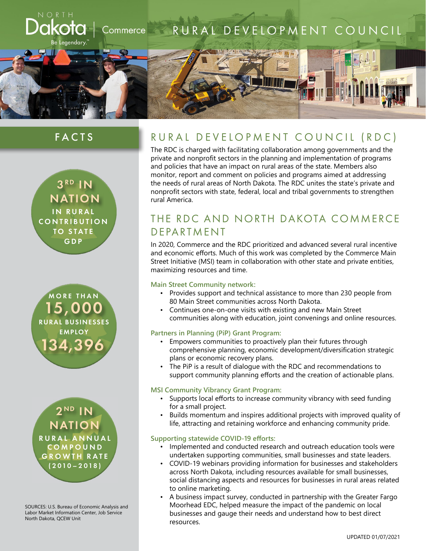

# FACTS







SOURCES: U.S. Bureau of Economic Analysis and Labor Market Information Center, Job Service North Dakota, QCEW Unit

### RURAL DEVELOPMENT COUNCIL (RDC)

The RDC is charged with facilitating collaboration among governments and the private and nonprofit sectors in the planning and implementation of programs and policies that have an impact on rural areas of the state. Members also monitor, report and comment on policies and programs aimed at addressing the needs of rural areas of North Dakota. The RDC unites the state's private and nonprofit sectors with state, federal, local and tribal governments to strengthen rural America.

## THE RDC AND NORTH DAKOTA COMMERCE DEPARTMENT

In 2020, Commerce and the RDC prioritized and advanced several rural incentive and economic efforts. Much of this work was completed by the Commerce Main Street Initiative (MSI) team in collaboration with other state and private entities, maximizing resources and time.

### **Main Street Community network:**

- Provides support and technical assistance to more than 230 people from 80 Main Street communities across North Dakota.
- Continues one-on-one visits with existing and new Main Street communities along with education, joint convenings and online resources.

#### **Partners in Planning (PiP) Grant Program:**

- Empowers communities to proactively plan their futures through comprehensive planning, economic development/diversification strategic plans or economic recovery plans.
- The PiP is a result of dialogue with the RDC and recommendations to support community planning efforts and the creation of actionable plans.

#### **MSI Community Vibrancy Grant Program:**

- Supports local efforts to increase community vibrancy with seed funding for a small project.
- Builds momentum and inspires additional projects with improved quality of life, attracting and retaining workforce and enhancing community pride.

#### **Supporting statewide COVID-19 efforts:**

- Implemented and conducted research and outreach education tools were undertaken supporting communities, small businesses and state leaders.
- COVID-19 webinars providing information for businesses and stakeholders across North Dakota, including resources available for small businesses, social distancing aspects and resources for businesses in rural areas related to online marketing.
- A business impact survey, conducted in partnership with the Greater Fargo Moorhead EDC, helped measure the impact of the pandemic on local businesses and gauge their needs and understand how to best direct resources.